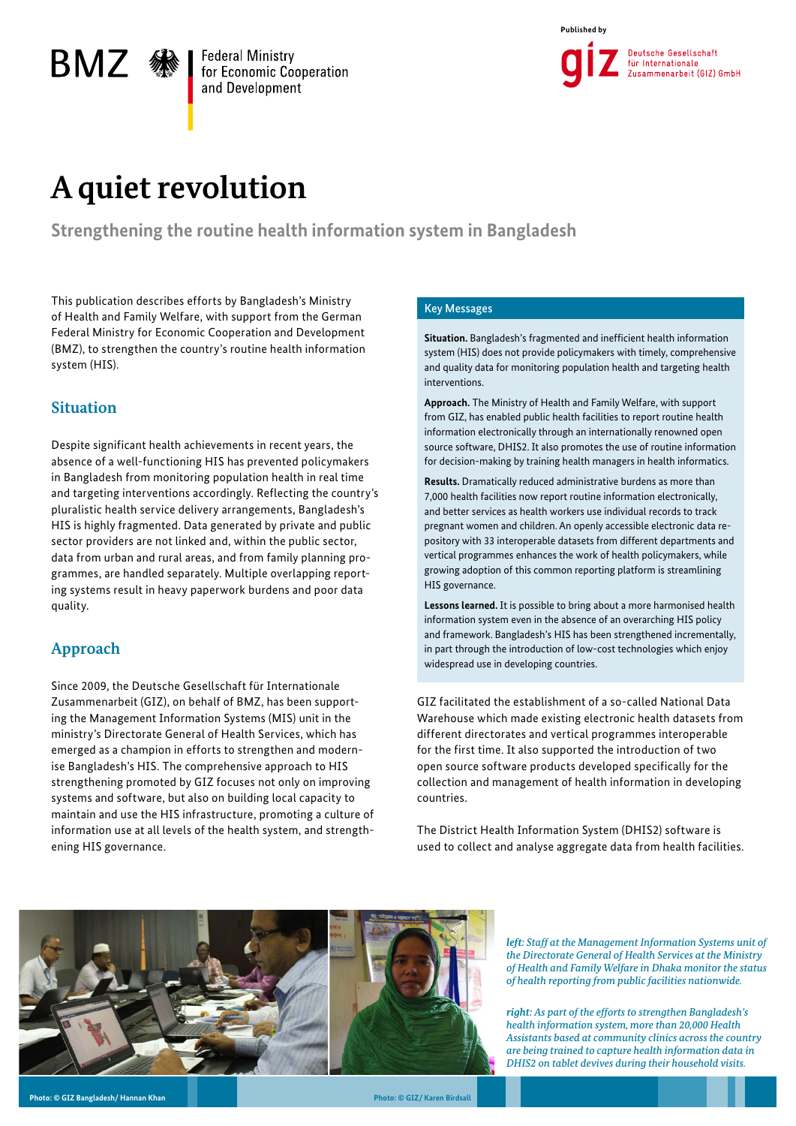**Federal Ministry** for Economic Cooperation and Development



# **A quiet revolution**

BMZ «

**Strengthening the routine health information system in Bangladesh** 

This publication describes efforts by Bangladesh's Ministry of Health and Family Welfare, with support from the German Federal Ministry for Economic Cooperation and Development (BMZ), to strengthen the country's routine health information system (HIS).

# **Situation**

Despite significant health achievements in recent years, the absence of a well-functioning HIS has prevented policymakers in Bangladesh from monitoring population health in real time and targeting interventions accordingly. Reflecting the country's pluralistic health service delivery arrangements, Bangladesh's HIS is highly fragmented. Data generated by private and public sector providers are not linked and, within the public sector, data from urban and rural areas, and from family planning programmes, are handled separately. Multiple overlapping reporting systems result in heavy paperwork burdens and poor data quality.

# **Approach**

Since 2009, the Deutsche Gesellschaft für Internationale Zusammenarbeit (GIZ), on behalf of BMZ, has been supporting the Management Information Systems (MIS) unit in the ministry's Directorate General of Health Services, which has emerged as a champion in efforts to strengthen and modernise Bangladesh's HIS. The comprehensive approach to HIS strengthening promoted by GIZ focuses not only on improving systems and software, but also on building local capacity to maintain and use the HIS infrastructure, promoting a culture of information use at all levels of the health system, and strengthening HIS governance.

#### Key Messages

**Situation.** Bangladesh's fragmented and inefficient health information system (HIS) does not provide policymakers with timely, comprehensive and quality data for monitoring population health and targeting health interventions.

**Approach.** The Ministry of Health and Family Welfare, with support from GIZ, has enabled public health facilities to report routine health information electronically through an internationally renowned open source software, DHIS2. It also promotes the use of routine information for decision-making by training health managers in health informatics.

**Results.** Dramatically reduced administrative burdens as more than 7,000 health facilities now report routine information electronically, and better services as health workers use individual records to track pregnant women and children. An openly accessible electronic data repository with 33 interoperable datasets from different departments and vertical programmes enhances the work of health policymakers, while growing adoption of this common reporting platform is streamlining HIS governance.

**Lessons learned.** It is possible to bring about a more harmonised health information system even in the absence of an overarching HIS policy and framework. Bangladesh's HIS has been strengthened incrementally, in part through the introduction of low-cost technologies which enjoy widespread use in developing countries.

GIZ facilitated the establishment of a so-called National Data Warehouse which made existing electronic health datasets from different directorates and vertical programmes interoperable for the first time. It also supported the introduction of two open source software products developed specifically for the collection and management of health information in developing countries.

The District Health Information System (DHIS2) software is used to collect and analyse aggregate data from health facilities.



*left: Staff at the Management Information Systems unit of the Directorate General of Health Services at the Ministry of Health and Family Welfare in Dhaka monitor the status of health reporting from public facilities nationwide.* 

*right: As part of the efforts to strengthen Bangladesh's health information system, more than 20,000 Health Assistants based at community clinics across the country are being trained to capture health information data in DHIS2 on tablet devives during their household visits.* 

**Photo: © GIZ Bangladesh/ Hannan Khan**